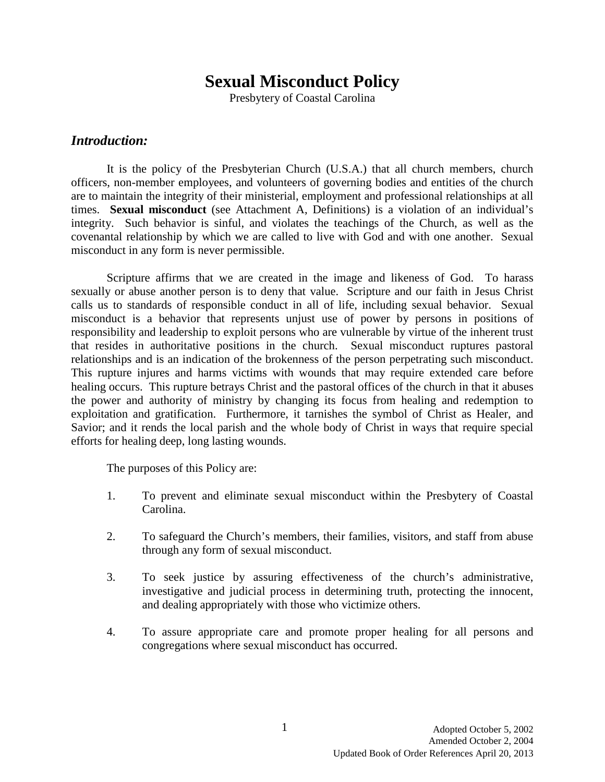# **Sexual Misconduct Policy**

Presbytery of Coastal Carolina

#### *Introduction:*

It is the policy of the Presbyterian Church (U.S.A.) that all church members, church officers, non-member employees, and volunteers of governing bodies and entities of the church are to maintain the integrity of their ministerial, employment and professional relationships at all times. **Sexual misconduct** (see Attachment A, Definitions) is a violation of an individual's integrity. Such behavior is sinful, and violates the teachings of the Church, as well as the covenantal relationship by which we are called to live with God and with one another. Sexual misconduct in any form is never permissible.

Scripture affirms that we are created in the image and likeness of God. To harass sexually or abuse another person is to deny that value. Scripture and our faith in Jesus Christ calls us to standards of responsible conduct in all of life, including sexual behavior. Sexual misconduct is a behavior that represents unjust use of power by persons in positions of responsibility and leadership to exploit persons who are vulnerable by virtue of the inherent trust that resides in authoritative positions in the church. Sexual misconduct ruptures pastoral relationships and is an indication of the brokenness of the person perpetrating such misconduct. This rupture injures and harms victims with wounds that may require extended care before healing occurs. This rupture betrays Christ and the pastoral offices of the church in that it abuses the power and authority of ministry by changing its focus from healing and redemption to exploitation and gratification. Furthermore, it tarnishes the symbol of Christ as Healer, and Savior; and it rends the local parish and the whole body of Christ in ways that require special efforts for healing deep, long lasting wounds.

The purposes of this Policy are:

- 1. To prevent and eliminate sexual misconduct within the Presbytery of Coastal Carolina.
- 2. To safeguard the Church's members, their families, visitors, and staff from abuse through any form of sexual misconduct.
- 3. To seek justice by assuring effectiveness of the church's administrative, investigative and judicial process in determining truth, protecting the innocent, and dealing appropriately with those who victimize others.
- 4. To assure appropriate care and promote proper healing for all persons and congregations where sexual misconduct has occurred.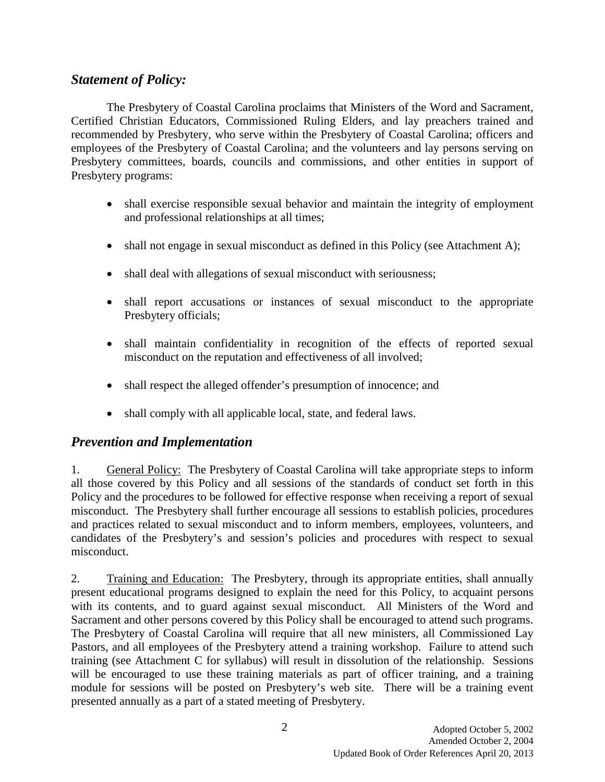## *Statement of Policy:*

The Presbytery of Coastal Carolina proclaims that Ministers of the Word and Sacrament, Certified Christian Educators, Commissioned Ruling Elders, and lay preachers trained and recommended by Presbytery, who serve within the Presbytery of Coastal Carolina; officers and employees of the Presbytery of Coastal Carolina; and the volunteers and lay persons serving on Presbytery committees, boards, councils and commissions, and other entities in support of Presbytery programs:

- shall exercise responsible sexual behavior and maintain the integrity of employment and professional relationships at all times;
- shall not engage in sexual misconduct as defined in this Policy (see Attachment A);
- shall deal with allegations of sexual misconduct with seriousness;
- shall report accusations or instances of sexual misconduct to the appropriate Presbytery officials;
- shall maintain confidentiality in recognition of the effects of reported sexual misconduct on the reputation and effectiveness of all involved;
- shall respect the alleged offender's presumption of innocence; and
- shall comply with all applicable local, state, and federal laws.

### *Prevention and Implementation*

1. General Policy: The Presbytery of Coastal Carolina will take appropriate steps to inform all those covered by this Policy and all sessions of the standards of conduct set forth in this Policy and the procedures to be followed for effective response when receiving a report of sexual misconduct. The Presbytery shall further encourage all sessions to establish policies, procedures and practices related to sexual misconduct and to inform members, employees, volunteers, and candidates of the Presbytery's and session's policies and procedures with respect to sexual misconduct.

2. Training and Education: The Presbytery, through its appropriate entities, shall annually present educational programs designed to explain the need for this Policy, to acquaint persons with its contents, and to guard against sexual misconduct. All Ministers of the Word and Sacrament and other persons covered by this Policy shall be encouraged to attend such programs. The Presbytery of Coastal Carolina will require that all new ministers, all Commissioned Lay Pastors, and all employees of the Presbytery attend a training workshop. Failure to attend such training (see Attachment C for syllabus) will result in dissolution of the relationship. Sessions will be encouraged to use these training materials as part of officer training, and a training module for sessions will be posted on Presbytery's web site. There will be a training event presented annually as a part of a stated meeting of Presbytery.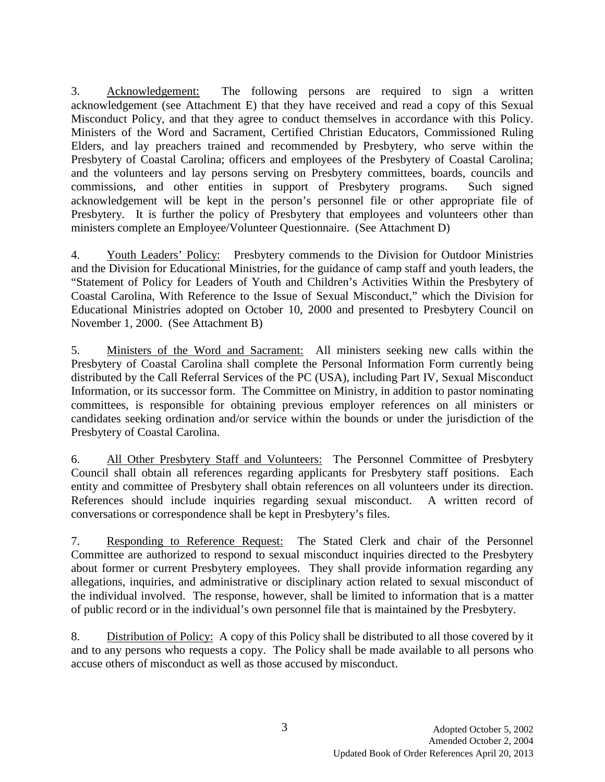3. Acknowledgement: The following persons are required to sign a written acknowledgement (see Attachment E) that they have received and read a copy of this Sexual Misconduct Policy, and that they agree to conduct themselves in accordance with this Policy. Ministers of the Word and Sacrament, Certified Christian Educators, Commissioned Ruling Elders, and lay preachers trained and recommended by Presbytery, who serve within the Presbytery of Coastal Carolina; officers and employees of the Presbytery of Coastal Carolina; and the volunteers and lay persons serving on Presbytery committees, boards, councils and commissions, and other entities in support of Presbytery programs. Such signed acknowledgement will be kept in the person's personnel file or other appropriate file of Presbytery. It is further the policy of Presbytery that employees and volunteers other than ministers complete an Employee/Volunteer Questionnaire. (See Attachment D)

4. Youth Leaders' Policy: Presbytery commends to the Division for Outdoor Ministries and the Division for Educational Ministries, for the guidance of camp staff and youth leaders, the "Statement of Policy for Leaders of Youth and Children's Activities Within the Presbytery of Coastal Carolina, With Reference to the Issue of Sexual Misconduct," which the Division for Educational Ministries adopted on October 10, 2000 and presented to Presbytery Council on November 1, 2000. (See Attachment B)

5. Ministers of the Word and Sacrament: All ministers seeking new calls within the Presbytery of Coastal Carolina shall complete the Personal Information Form currently being distributed by the Call Referral Services of the PC (USA), including Part IV, Sexual Misconduct Information, or its successor form. The Committee on Ministry, in addition to pastor nominating committees, is responsible for obtaining previous employer references on all ministers or candidates seeking ordination and/or service within the bounds or under the jurisdiction of the Presbytery of Coastal Carolina.

6. All Other Presbytery Staff and Volunteers: The Personnel Committee of Presbytery Council shall obtain all references regarding applicants for Presbytery staff positions. Each entity and committee of Presbytery shall obtain references on all volunteers under its direction. References should include inquiries regarding sexual misconduct. A written record of conversations or correspondence shall be kept in Presbytery's files.

7. Responding to Reference Request: The Stated Clerk and chair of the Personnel Committee are authorized to respond to sexual misconduct inquiries directed to the Presbytery about former or current Presbytery employees. They shall provide information regarding any allegations, inquiries, and administrative or disciplinary action related to sexual misconduct of the individual involved. The response, however, shall be limited to information that is a matter of public record or in the individual's own personnel file that is maintained by the Presbytery.

8. Distribution of Policy: A copy of this Policy shall be distributed to all those covered by it and to any persons who requests a copy. The Policy shall be made available to all persons who accuse others of misconduct as well as those accused by misconduct.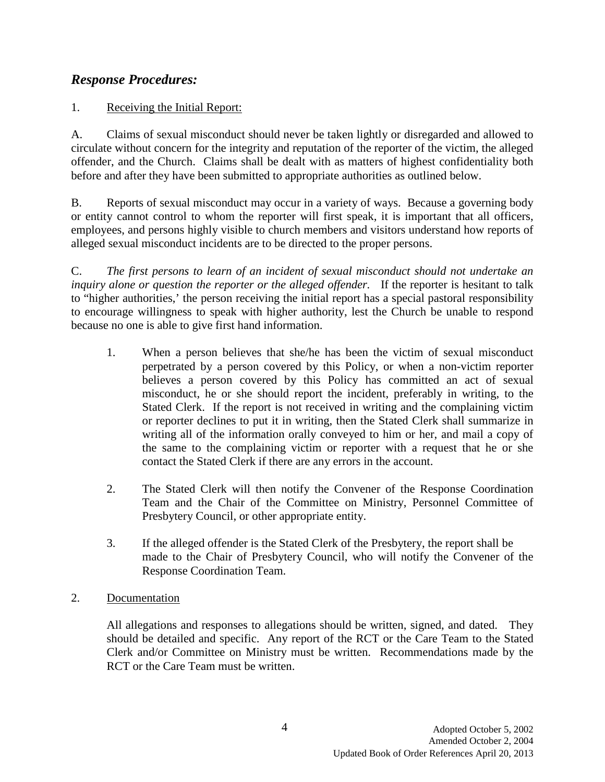# *Response Procedures:*

### 1. Receiving the Initial Report:

A. Claims of sexual misconduct should never be taken lightly or disregarded and allowed to circulate without concern for the integrity and reputation of the reporter of the victim, the alleged offender, and the Church. Claims shall be dealt with as matters of highest confidentiality both before and after they have been submitted to appropriate authorities as outlined below.

B. Reports of sexual misconduct may occur in a variety of ways. Because a governing body or entity cannot control to whom the reporter will first speak, it is important that all officers, employees, and persons highly visible to church members and visitors understand how reports of alleged sexual misconduct incidents are to be directed to the proper persons.

C. *The first persons to learn of an incident of sexual misconduct should not undertake an inquiry alone or question the reporter or the alleged offender.* If the reporter is hesitant to talk to "higher authorities,' the person receiving the initial report has a special pastoral responsibility to encourage willingness to speak with higher authority, lest the Church be unable to respond because no one is able to give first hand information.

- 1. When a person believes that she/he has been the victim of sexual misconduct perpetrated by a person covered by this Policy, or when a non-victim reporter believes a person covered by this Policy has committed an act of sexual misconduct, he or she should report the incident, preferably in writing, to the Stated Clerk. If the report is not received in writing and the complaining victim or reporter declines to put it in writing, then the Stated Clerk shall summarize in writing all of the information orally conveyed to him or her, and mail a copy of the same to the complaining victim or reporter with a request that he or she contact the Stated Clerk if there are any errors in the account.
- 2. The Stated Clerk will then notify the Convener of the Response Coordination Team and the Chair of the Committee on Ministry, Personnel Committee of Presbytery Council, or other appropriate entity.
- 3. If the alleged offender is the Stated Clerk of the Presbytery, the report shall be made to the Chair of Presbytery Council, who will notify the Convener of the Response Coordination Team.
- 2. Documentation

All allegations and responses to allegations should be written, signed, and dated. They should be detailed and specific. Any report of the RCT or the Care Team to the Stated Clerk and/or Committee on Ministry must be written. Recommendations made by the RCT or the Care Team must be written.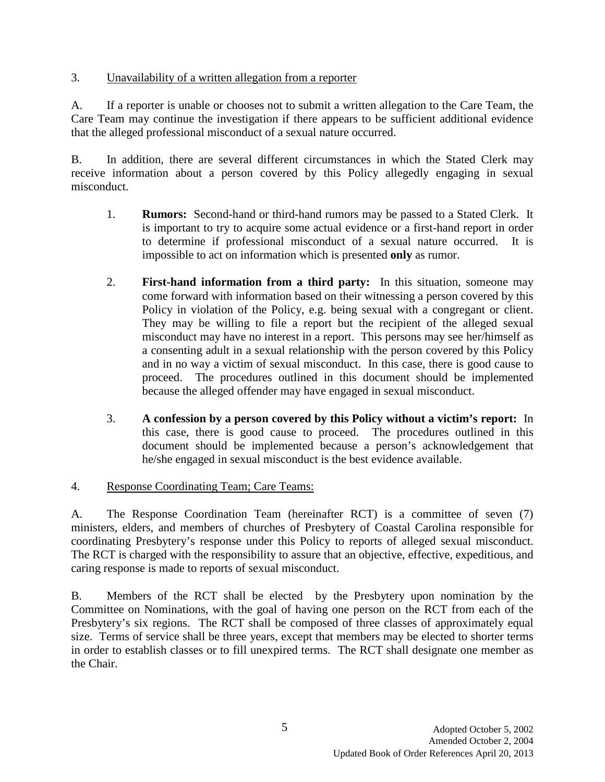### 3. Unavailability of a written allegation from a reporter

A. If a reporter is unable or chooses not to submit a written allegation to the Care Team, the Care Team may continue the investigation if there appears to be sufficient additional evidence that the alleged professional misconduct of a sexual nature occurred.

B. In addition, there are several different circumstances in which the Stated Clerk may receive information about a person covered by this Policy allegedly engaging in sexual misconduct.

- 1. **Rumors:** Second-hand or third-hand rumors may be passed to a Stated Clerk. It is important to try to acquire some actual evidence or a first-hand report in order to determine if professional misconduct of a sexual nature occurred. It is impossible to act on information which is presented **only** as rumor.
- 2. **First-hand information from a third party:** In this situation, someone may come forward with information based on their witnessing a person covered by this Policy in violation of the Policy, e.g. being sexual with a congregant or client. They may be willing to file a report but the recipient of the alleged sexual misconduct may have no interest in a report. This persons may see her/himself as a consenting adult in a sexual relationship with the person covered by this Policy and in no way a victim of sexual misconduct. In this case, there is good cause to proceed. The procedures outlined in this document should be implemented because the alleged offender may have engaged in sexual misconduct.
- 3. **A confession by a person covered by this Policy without a victim's report:** In this case, there is good cause to proceed. The procedures outlined in this document should be implemented because a person's acknowledgement that he/she engaged in sexual misconduct is the best evidence available.

### 4. Response Coordinating Team; Care Teams:

A. The Response Coordination Team (hereinafter RCT) is a committee of seven (7) ministers, elders, and members of churches of Presbytery of Coastal Carolina responsible for coordinating Presbytery's response under this Policy to reports of alleged sexual misconduct. The RCT is charged with the responsibility to assure that an objective, effective, expeditious, and caring response is made to reports of sexual misconduct.

B. Members of the RCT shall be elected by the Presbytery upon nomination by the Committee on Nominations, with the goal of having one person on the RCT from each of the Presbytery's six regions. The RCT shall be composed of three classes of approximately equal size. Terms of service shall be three years, except that members may be elected to shorter terms in order to establish classes or to fill unexpired terms. The RCT shall designate one member as the Chair.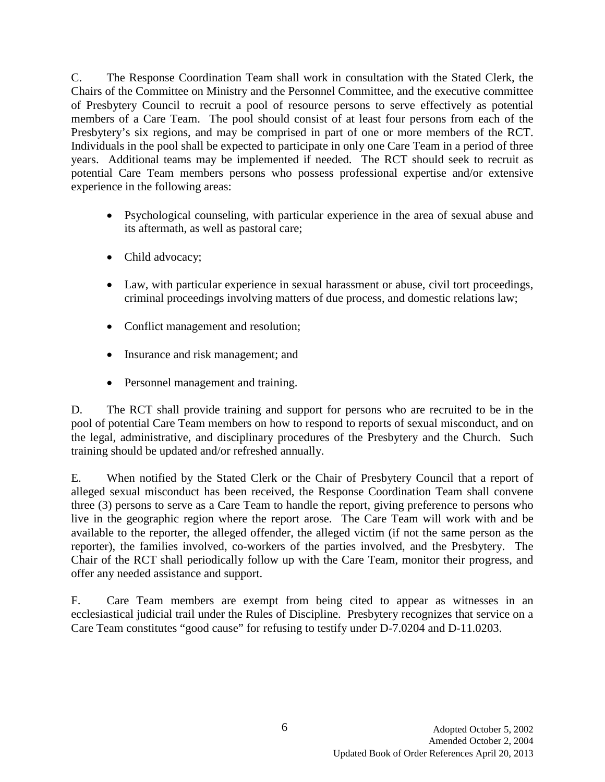C. The Response Coordination Team shall work in consultation with the Stated Clerk, the Chairs of the Committee on Ministry and the Personnel Committee, and the executive committee of Presbytery Council to recruit a pool of resource persons to serve effectively as potential members of a Care Team. The pool should consist of at least four persons from each of the Presbytery's six regions, and may be comprised in part of one or more members of the RCT. Individuals in the pool shall be expected to participate in only one Care Team in a period of three years. Additional teams may be implemented if needed. The RCT should seek to recruit as potential Care Team members persons who possess professional expertise and/or extensive experience in the following areas:

- Psychological counseling, with particular experience in the area of sexual abuse and its aftermath, as well as pastoral care;
- Child advocacy;
- Law, with particular experience in sexual harassment or abuse, civil tort proceedings, criminal proceedings involving matters of due process, and domestic relations law;
- Conflict management and resolution;
- Insurance and risk management; and
- Personnel management and training.

D. The RCT shall provide training and support for persons who are recruited to be in the pool of potential Care Team members on how to respond to reports of sexual misconduct, and on the legal, administrative, and disciplinary procedures of the Presbytery and the Church. Such training should be updated and/or refreshed annually.

E. When notified by the Stated Clerk or the Chair of Presbytery Council that a report of alleged sexual misconduct has been received, the Response Coordination Team shall convene three (3) persons to serve as a Care Team to handle the report, giving preference to persons who live in the geographic region where the report arose. The Care Team will work with and be available to the reporter, the alleged offender, the alleged victim (if not the same person as the reporter), the families involved, co-workers of the parties involved, and the Presbytery. The Chair of the RCT shall periodically follow up with the Care Team, monitor their progress, and offer any needed assistance and support.

F. Care Team members are exempt from being cited to appear as witnesses in an ecclesiastical judicial trail under the Rules of Discipline. Presbytery recognizes that service on a Care Team constitutes "good cause" for refusing to testify under D-7.0204 and D-11.0203.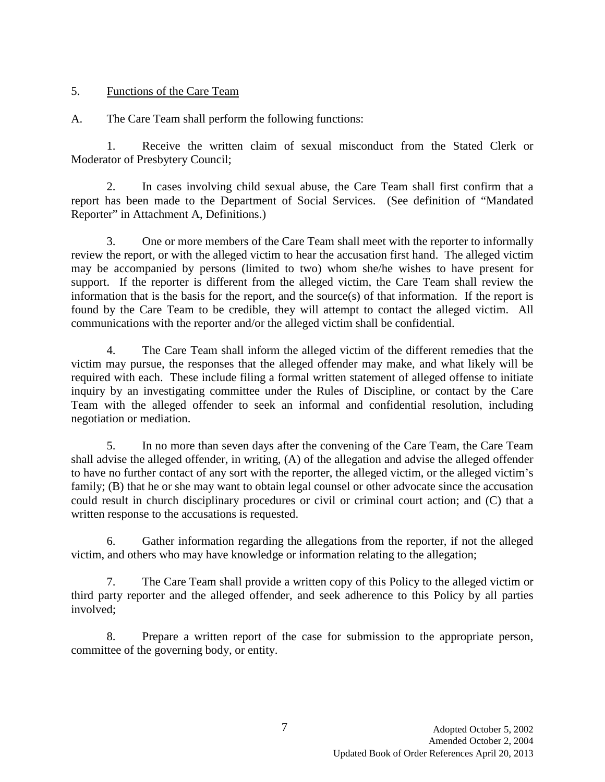#### 5. Functions of the Care Team

A. The Care Team shall perform the following functions:

1. Receive the written claim of sexual misconduct from the Stated Clerk or Moderator of Presbytery Council;

2. In cases involving child sexual abuse, the Care Team shall first confirm that a report has been made to the Department of Social Services. (See definition of "Mandated Reporter" in Attachment A, Definitions.)

3. One or more members of the Care Team shall meet with the reporter to informally review the report, or with the alleged victim to hear the accusation first hand. The alleged victim may be accompanied by persons (limited to two) whom she/he wishes to have present for support. If the reporter is different from the alleged victim, the Care Team shall review the information that is the basis for the report, and the source(s) of that information. If the report is found by the Care Team to be credible, they will attempt to contact the alleged victim. All communications with the reporter and/or the alleged victim shall be confidential.

4. The Care Team shall inform the alleged victim of the different remedies that the victim may pursue, the responses that the alleged offender may make, and what likely will be required with each. These include filing a formal written statement of alleged offense to initiate inquiry by an investigating committee under the Rules of Discipline, or contact by the Care Team with the alleged offender to seek an informal and confidential resolution, including negotiation or mediation.

5. In no more than seven days after the convening of the Care Team, the Care Team shall advise the alleged offender, in writing, (A) of the allegation and advise the alleged offender to have no further contact of any sort with the reporter, the alleged victim, or the alleged victim's family; (B) that he or she may want to obtain legal counsel or other advocate since the accusation could result in church disciplinary procedures or civil or criminal court action; and (C) that a written response to the accusations is requested.

6. Gather information regarding the allegations from the reporter, if not the alleged victim, and others who may have knowledge or information relating to the allegation;

7. The Care Team shall provide a written copy of this Policy to the alleged victim or third party reporter and the alleged offender, and seek adherence to this Policy by all parties involved;

8. Prepare a written report of the case for submission to the appropriate person, committee of the governing body, or entity.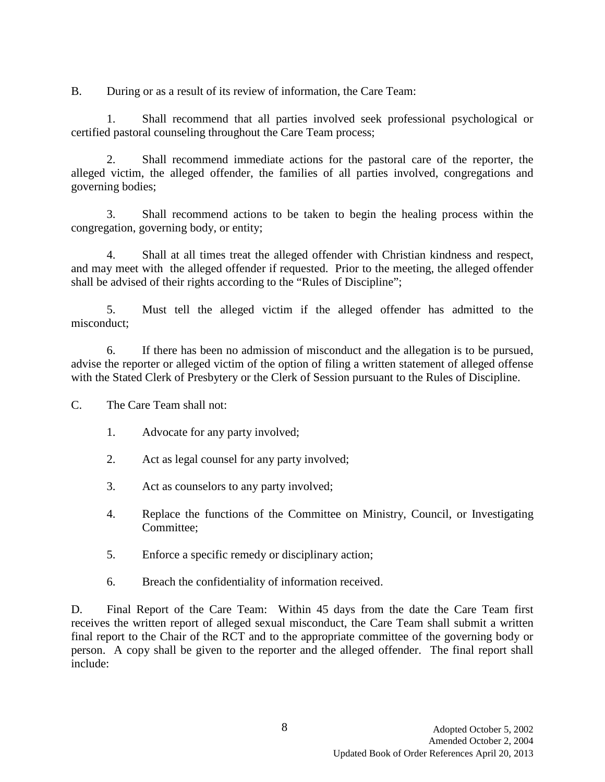B. During or as a result of its review of information, the Care Team:

1. Shall recommend that all parties involved seek professional psychological or certified pastoral counseling throughout the Care Team process;

2. Shall recommend immediate actions for the pastoral care of the reporter, the alleged victim, the alleged offender, the families of all parties involved, congregations and governing bodies;

3. Shall recommend actions to be taken to begin the healing process within the congregation, governing body, or entity;

4. Shall at all times treat the alleged offender with Christian kindness and respect, and may meet with the alleged offender if requested. Prior to the meeting, the alleged offender shall be advised of their rights according to the "Rules of Discipline";

5. Must tell the alleged victim if the alleged offender has admitted to the misconduct;

6. If there has been no admission of misconduct and the allegation is to be pursued, advise the reporter or alleged victim of the option of filing a written statement of alleged offense with the Stated Clerk of Presbytery or the Clerk of Session pursuant to the Rules of Discipline.

C. The Care Team shall not:

- 1. Advocate for any party involved;
- 2. Act as legal counsel for any party involved;
- 3. Act as counselors to any party involved;
- 4. Replace the functions of the Committee on Ministry, Council, or Investigating Committee;
- 5. Enforce a specific remedy or disciplinary action;
- 6. Breach the confidentiality of information received.

D. Final Report of the Care Team: Within 45 days from the date the Care Team first receives the written report of alleged sexual misconduct, the Care Team shall submit a written final report to the Chair of the RCT and to the appropriate committee of the governing body or person. A copy shall be given to the reporter and the alleged offender. The final report shall include: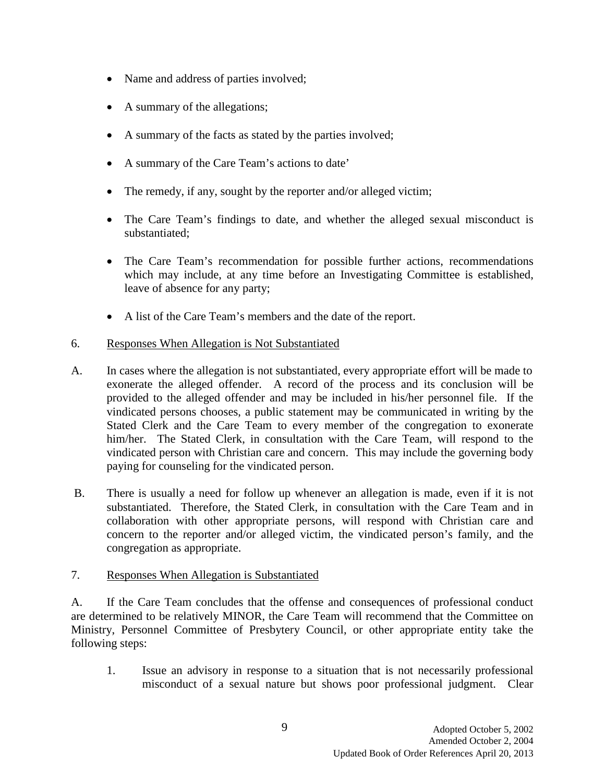- Name and address of parties involved;
- A summary of the allegations;
- A summary of the facts as stated by the parties involved;
- A summary of the Care Team's actions to date'
- The remedy, if any, sought by the reporter and/or alleged victim;
- The Care Team's findings to date, and whether the alleged sexual misconduct is substantiated;
- The Care Team's recommendation for possible further actions, recommendations which may include, at any time before an Investigating Committee is established, leave of absence for any party;
- A list of the Care Team's members and the date of the report.

#### 6. Responses When Allegation is Not Substantiated

- A. In cases where the allegation is not substantiated, every appropriate effort will be made to exonerate the alleged offender. A record of the process and its conclusion will be provided to the alleged offender and may be included in his/her personnel file. If the vindicated persons chooses, a public statement may be communicated in writing by the Stated Clerk and the Care Team to every member of the congregation to exonerate him/her. The Stated Clerk, in consultation with the Care Team, will respond to the vindicated person with Christian care and concern. This may include the governing body paying for counseling for the vindicated person.
- B. There is usually a need for follow up whenever an allegation is made, even if it is not substantiated. Therefore, the Stated Clerk, in consultation with the Care Team and in collaboration with other appropriate persons, will respond with Christian care and concern to the reporter and/or alleged victim, the vindicated person's family, and the congregation as appropriate.

### 7. Responses When Allegation is Substantiated

A. If the Care Team concludes that the offense and consequences of professional conduct are determined to be relatively MINOR, the Care Team will recommend that the Committee on Ministry, Personnel Committee of Presbytery Council, or other appropriate entity take the following steps:

1. Issue an advisory in response to a situation that is not necessarily professional misconduct of a sexual nature but shows poor professional judgment. Clear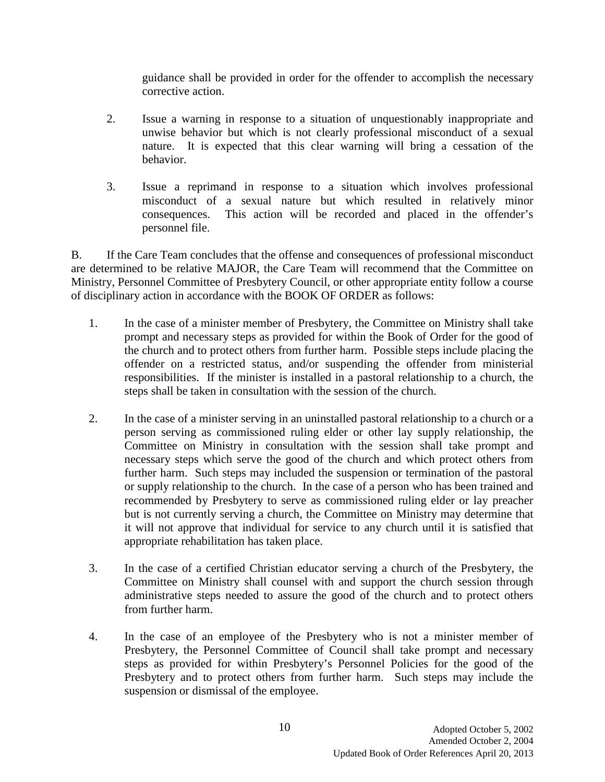guidance shall be provided in order for the offender to accomplish the necessary corrective action.

- 2. Issue a warning in response to a situation of unquestionably inappropriate and unwise behavior but which is not clearly professional misconduct of a sexual nature. It is expected that this clear warning will bring a cessation of the behavior.
- 3. Issue a reprimand in response to a situation which involves professional misconduct of a sexual nature but which resulted in relatively minor consequences. This action will be recorded and placed in the offender's personnel file.

B. If the Care Team concludes that the offense and consequences of professional misconduct are determined to be relative MAJOR, the Care Team will recommend that the Committee on Ministry, Personnel Committee of Presbytery Council, or other appropriate entity follow a course of disciplinary action in accordance with the BOOK OF ORDER as follows:

- 1. In the case of a minister member of Presbytery, the Committee on Ministry shall take prompt and necessary steps as provided for within the Book of Order for the good of the church and to protect others from further harm. Possible steps include placing the offender on a restricted status, and/or suspending the offender from ministerial responsibilities. If the minister is installed in a pastoral relationship to a church, the steps shall be taken in consultation with the session of the church.
- 2. In the case of a minister serving in an uninstalled pastoral relationship to a church or a person serving as commissioned ruling elder or other lay supply relationship, the Committee on Ministry in consultation with the session shall take prompt and necessary steps which serve the good of the church and which protect others from further harm. Such steps may included the suspension or termination of the pastoral or supply relationship to the church. In the case of a person who has been trained and recommended by Presbytery to serve as commissioned ruling elder or lay preacher but is not currently serving a church, the Committee on Ministry may determine that it will not approve that individual for service to any church until it is satisfied that appropriate rehabilitation has taken place.
- 3. In the case of a certified Christian educator serving a church of the Presbytery, the Committee on Ministry shall counsel with and support the church session through administrative steps needed to assure the good of the church and to protect others from further harm.
- 4. In the case of an employee of the Presbytery who is not a minister member of Presbytery, the Personnel Committee of Council shall take prompt and necessary steps as provided for within Presbytery's Personnel Policies for the good of the Presbytery and to protect others from further harm. Such steps may include the suspension or dismissal of the employee.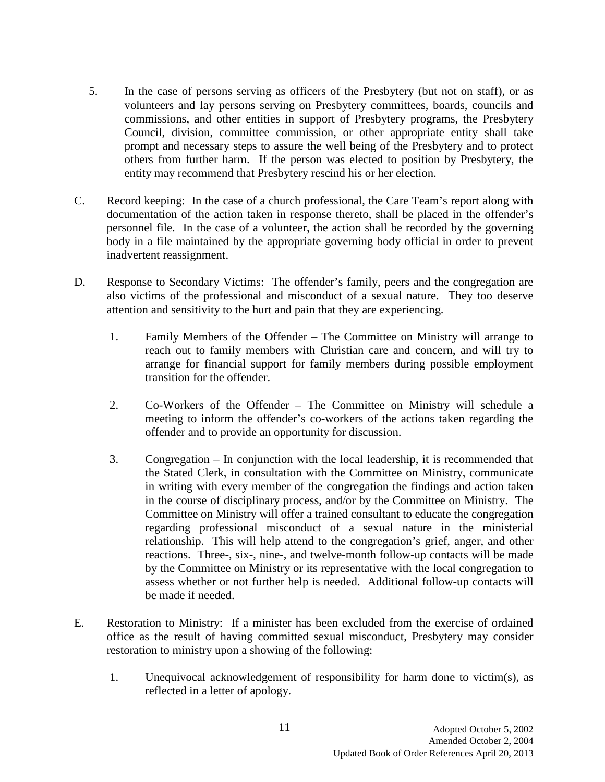- 5. In the case of persons serving as officers of the Presbytery (but not on staff), or as volunteers and lay persons serving on Presbytery committees, boards, councils and commissions, and other entities in support of Presbytery programs, the Presbytery Council, division, committee commission, or other appropriate entity shall take prompt and necessary steps to assure the well being of the Presbytery and to protect others from further harm. If the person was elected to position by Presbytery, the entity may recommend that Presbytery rescind his or her election.
- C. Record keeping: In the case of a church professional, the Care Team's report along with documentation of the action taken in response thereto, shall be placed in the offender's personnel file. In the case of a volunteer, the action shall be recorded by the governing body in a file maintained by the appropriate governing body official in order to prevent inadvertent reassignment.
- D. Response to Secondary Victims: The offender's family, peers and the congregation are also victims of the professional and misconduct of a sexual nature. They too deserve attention and sensitivity to the hurt and pain that they are experiencing.
	- 1. Family Members of the Offender The Committee on Ministry will arrange to reach out to family members with Christian care and concern, and will try to arrange for financial support for family members during possible employment transition for the offender.
	- 2. Co-Workers of the Offender The Committee on Ministry will schedule a meeting to inform the offender's co-workers of the actions taken regarding the offender and to provide an opportunity for discussion.
	- 3. Congregation In conjunction with the local leadership, it is recommended that the Stated Clerk, in consultation with the Committee on Ministry, communicate in writing with every member of the congregation the findings and action taken in the course of disciplinary process, and/or by the Committee on Ministry. The Committee on Ministry will offer a trained consultant to educate the congregation regarding professional misconduct of a sexual nature in the ministerial relationship. This will help attend to the congregation's grief, anger, and other reactions. Three-, six-, nine-, and twelve-month follow-up contacts will be made by the Committee on Ministry or its representative with the local congregation to assess whether or not further help is needed. Additional follow-up contacts will be made if needed.
- E. Restoration to Ministry: If a minister has been excluded from the exercise of ordained office as the result of having committed sexual misconduct, Presbytery may consider restoration to ministry upon a showing of the following:
	- 1. Unequivocal acknowledgement of responsibility for harm done to victim(s), as reflected in a letter of apology.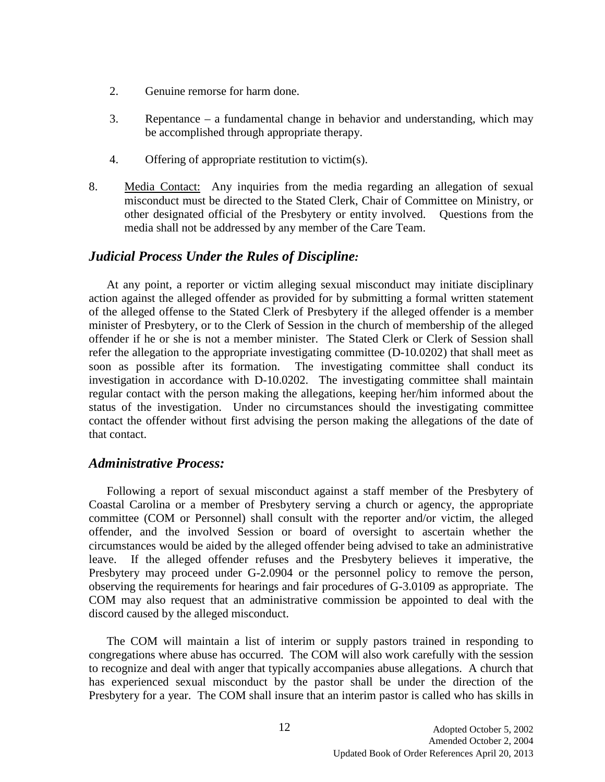- 2. Genuine remorse for harm done.
- 3. Repentance a fundamental change in behavior and understanding, which may be accomplished through appropriate therapy.
- 4. Offering of appropriate restitution to victim(s).
- 8. Media Contact: Any inquiries from the media regarding an allegation of sexual misconduct must be directed to the Stated Clerk, Chair of Committee on Ministry, or other designated official of the Presbytery or entity involved. Questions from the media shall not be addressed by any member of the Care Team.

### *Judicial Process Under the Rules of Discipline:*

At any point, a reporter or victim alleging sexual misconduct may initiate disciplinary action against the alleged offender as provided for by submitting a formal written statement of the alleged offense to the Stated Clerk of Presbytery if the alleged offender is a member minister of Presbytery, or to the Clerk of Session in the church of membership of the alleged offender if he or she is not a member minister. The Stated Clerk or Clerk of Session shall refer the allegation to the appropriate investigating committee (D-10.0202) that shall meet as soon as possible after its formation. The investigating committee shall conduct its investigation in accordance with D-10.0202. The investigating committee shall maintain regular contact with the person making the allegations, keeping her/him informed about the status of the investigation. Under no circumstances should the investigating committee contact the offender without first advising the person making the allegations of the date of that contact.

#### *Administrative Process:*

Following a report of sexual misconduct against a staff member of the Presbytery of Coastal Carolina or a member of Presbytery serving a church or agency, the appropriate committee (COM or Personnel) shall consult with the reporter and/or victim, the alleged offender, and the involved Session or board of oversight to ascertain whether the circumstances would be aided by the alleged offender being advised to take an administrative leave. If the alleged offender refuses and the Presbytery believes it imperative, the Presbytery may proceed under G-2.0904 or the personnel policy to remove the person, observing the requirements for hearings and fair procedures of G-3.0109 as appropriate. The COM may also request that an administrative commission be appointed to deal with the discord caused by the alleged misconduct.

The COM will maintain a list of interim or supply pastors trained in responding to congregations where abuse has occurred. The COM will also work carefully with the session to recognize and deal with anger that typically accompanies abuse allegations. A church that has experienced sexual misconduct by the pastor shall be under the direction of the Presbytery for a year. The COM shall insure that an interim pastor is called who has skills in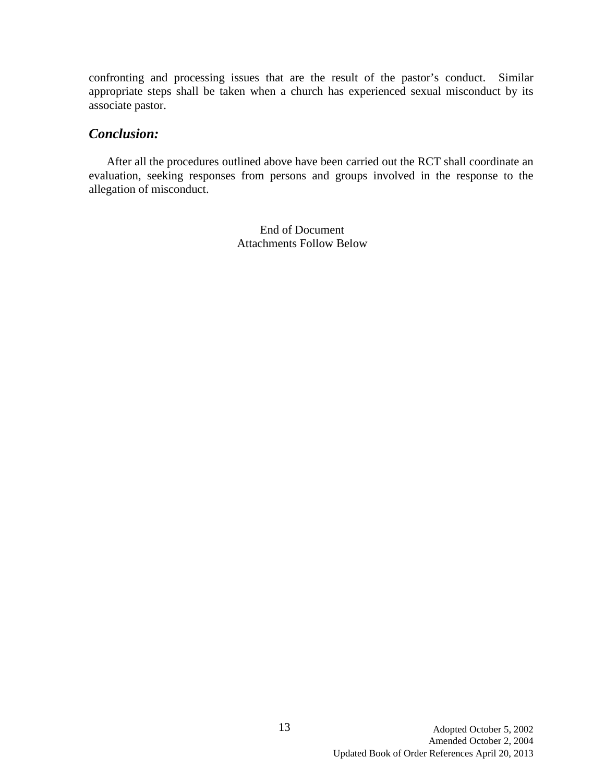confronting and processing issues that are the result of the pastor's conduct. Similar appropriate steps shall be taken when a church has experienced sexual misconduct by its associate pastor.

### *Conclusion:*

After all the procedures outlined above have been carried out the RCT shall coordinate an evaluation, seeking responses from persons and groups involved in the response to the allegation of misconduct.

> End of Document Attachments Follow Below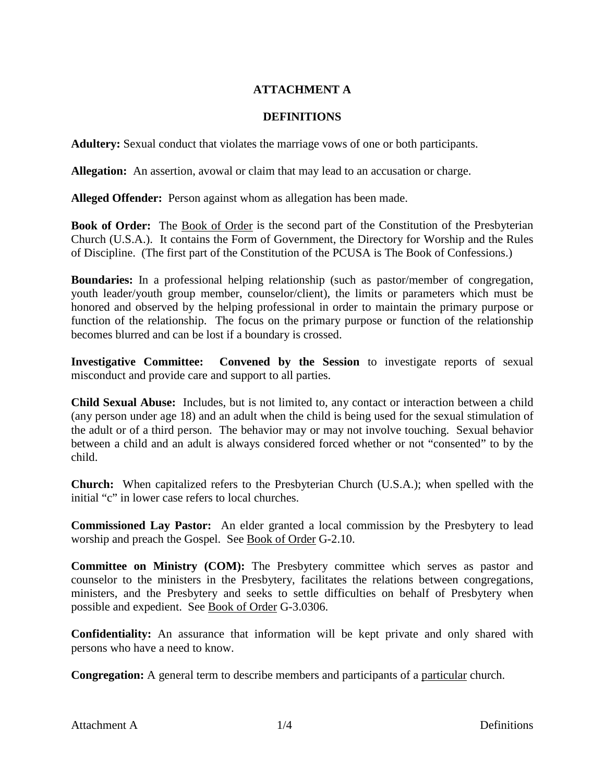### **ATTACHMENT A**

#### **DEFINITIONS**

**Adultery:** Sexual conduct that violates the marriage vows of one or both participants.

**Allegation:** An assertion, avowal or claim that may lead to an accusation or charge.

**Alleged Offender:** Person against whom as allegation has been made.

**Book of Order:** The Book of Order is the second part of the Constitution of the Presbyterian Church (U.S.A.). It contains the Form of Government, the Directory for Worship and the Rules of Discipline. (The first part of the Constitution of the PCUSA is The Book of Confessions.)

**Boundaries:** In a professional helping relationship (such as pastor/member of congregation, youth leader/youth group member, counselor/client), the limits or parameters which must be honored and observed by the helping professional in order to maintain the primary purpose or function of the relationship. The focus on the primary purpose or function of the relationship becomes blurred and can be lost if a boundary is crossed.

**Investigative Committee: Convened by the Session** to investigate reports of sexual misconduct and provide care and support to all parties.

**Child Sexual Abuse:** Includes, but is not limited to, any contact or interaction between a child (any person under age 18) and an adult when the child is being used for the sexual stimulation of the adult or of a third person. The behavior may or may not involve touching. Sexual behavior between a child and an adult is always considered forced whether or not "consented" to by the child.

**Church:** When capitalized refers to the Presbyterian Church (U.S.A.); when spelled with the initial "c" in lower case refers to local churches.

**Commissioned Lay Pastor:** An elder granted a local commission by the Presbytery to lead worship and preach the Gospel. See Book of Order G-2.10.

**Committee on Ministry (COM):** The Presbytery committee which serves as pastor and counselor to the ministers in the Presbytery, facilitates the relations between congregations, ministers, and the Presbytery and seeks to settle difficulties on behalf of Presbytery when possible and expedient. See Book of Order G-3.0306.

**Confidentiality:** An assurance that information will be kept private and only shared with persons who have a need to know.

**Congregation:** A general term to describe members and participants of a particular church.

Attachment A 1/4 Definitions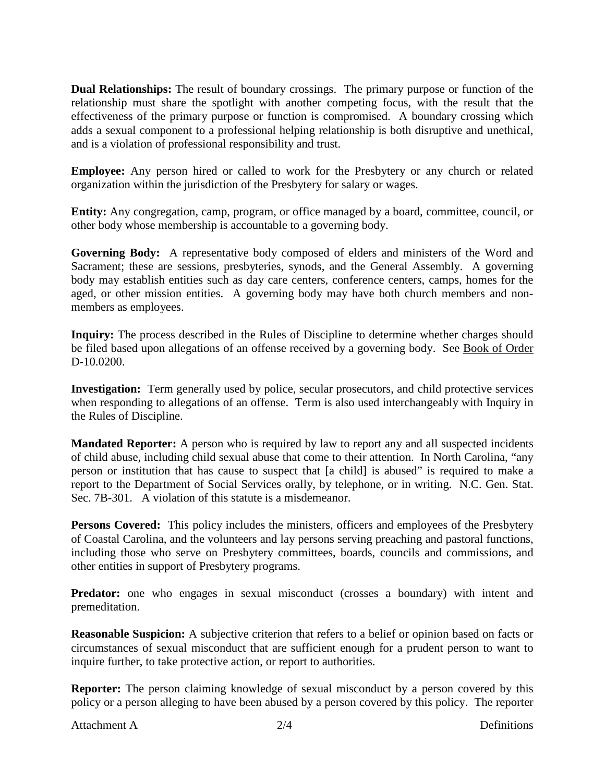**Dual Relationships:** The result of boundary crossings. The primary purpose or function of the relationship must share the spotlight with another competing focus, with the result that the effectiveness of the primary purpose or function is compromised. A boundary crossing which adds a sexual component to a professional helping relationship is both disruptive and unethical, and is a violation of professional responsibility and trust.

**Employee:** Any person hired or called to work for the Presbytery or any church or related organization within the jurisdiction of the Presbytery for salary or wages.

**Entity:** Any congregation, camp, program, or office managed by a board, committee, council, or other body whose membership is accountable to a governing body.

**Governing Body:** A representative body composed of elders and ministers of the Word and Sacrament; these are sessions, presbyteries, synods, and the General Assembly. A governing body may establish entities such as day care centers, conference centers, camps, homes for the aged, or other mission entities. A governing body may have both church members and nonmembers as employees.

**Inquiry:** The process described in the Rules of Discipline to determine whether charges should be filed based upon allegations of an offense received by a governing body. See Book of Order D-10.0200.

**Investigation:** Term generally used by police, secular prosecutors, and child protective services when responding to allegations of an offense. Term is also used interchangeably with Inquiry in the Rules of Discipline.

**Mandated Reporter:** A person who is required by law to report any and all suspected incidents of child abuse, including child sexual abuse that come to their attention. In North Carolina, "any person or institution that has cause to suspect that [a child] is abused" is required to make a report to the Department of Social Services orally, by telephone, or in writing. N.C. Gen. Stat. Sec. 7B-301. A violation of this statute is a misdemeanor.

**Persons Covered:** This policy includes the ministers, officers and employees of the Presbytery of Coastal Carolina, and the volunteers and lay persons serving preaching and pastoral functions, including those who serve on Presbytery committees, boards, councils and commissions, and other entities in support of Presbytery programs.

**Predator:** one who engages in sexual misconduct (crosses a boundary) with intent and premeditation.

**Reasonable Suspicion:** A subjective criterion that refers to a belief or opinion based on facts or circumstances of sexual misconduct that are sufficient enough for a prudent person to want to inquire further, to take protective action, or report to authorities.

**Reporter:** The person claiming knowledge of sexual misconduct by a person covered by this policy or a person alleging to have been abused by a person covered by this policy. The reporter

Attachment A 2/4 Definitions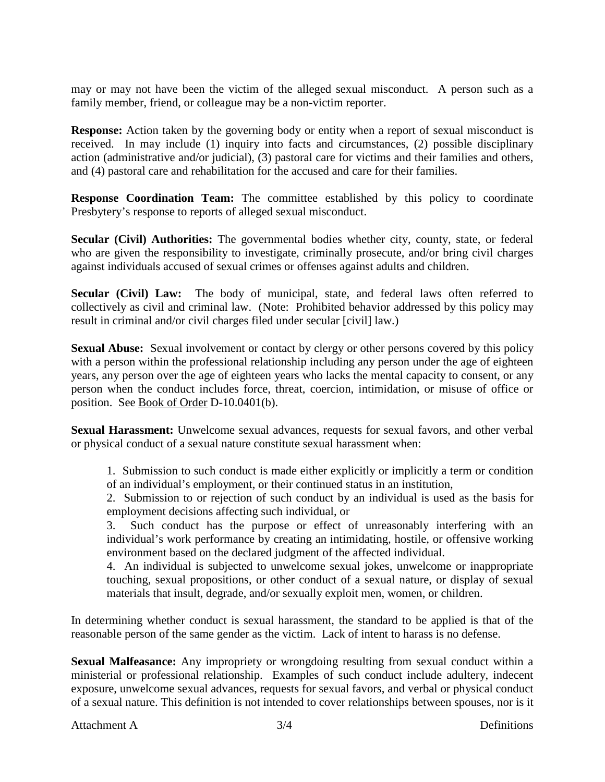may or may not have been the victim of the alleged sexual misconduct. A person such as a family member, friend, or colleague may be a non-victim reporter.

**Response:** Action taken by the governing body or entity when a report of sexual misconduct is received. In may include (1) inquiry into facts and circumstances, (2) possible disciplinary action (administrative and/or judicial), (3) pastoral care for victims and their families and others, and (4) pastoral care and rehabilitation for the accused and care for their families.

**Response Coordination Team:** The committee established by this policy to coordinate Presbytery's response to reports of alleged sexual misconduct.

**Secular (Civil) Authorities:** The governmental bodies whether city, county, state, or federal who are given the responsibility to investigate, criminally prosecute, and/or bring civil charges against individuals accused of sexual crimes or offenses against adults and children.

**Secular (Civil) Law:** The body of municipal, state, and federal laws often referred to collectively as civil and criminal law. (Note: Prohibited behavior addressed by this policy may result in criminal and/or civil charges filed under secular [civil] law.)

**Sexual Abuse:** Sexual involvement or contact by clergy or other persons covered by this policy with a person within the professional relationship including any person under the age of eighteen years, any person over the age of eighteen years who lacks the mental capacity to consent, or any person when the conduct includes force, threat, coercion, intimidation, or misuse of office or position. See Book of Order D-10.0401(b).

**Sexual Harassment:** Unwelcome sexual advances, requests for sexual favors, and other verbal or physical conduct of a sexual nature constitute sexual harassment when:

1. Submission to such conduct is made either explicitly or implicitly a term or condition of an individual's employment, or their continued status in an institution,

2. Submission to or rejection of such conduct by an individual is used as the basis for employment decisions affecting such individual, or

3. Such conduct has the purpose or effect of unreasonably interfering with an individual's work performance by creating an intimidating, hostile, or offensive working environment based on the declared judgment of the affected individual.

4. An individual is subjected to unwelcome sexual jokes, unwelcome or inappropriate touching, sexual propositions, or other conduct of a sexual nature, or display of sexual materials that insult, degrade, and/or sexually exploit men, women, or children.

In determining whether conduct is sexual harassment, the standard to be applied is that of the reasonable person of the same gender as the victim. Lack of intent to harass is no defense.

**Sexual Malfeasance:** Any impropriety or wrongdoing resulting from sexual conduct within a ministerial or professional relationship. Examples of such conduct include adultery, indecent exposure, unwelcome sexual advances, requests for sexual favors, and verbal or physical conduct of a sexual nature. This definition is not intended to cover relationships between spouses, nor is it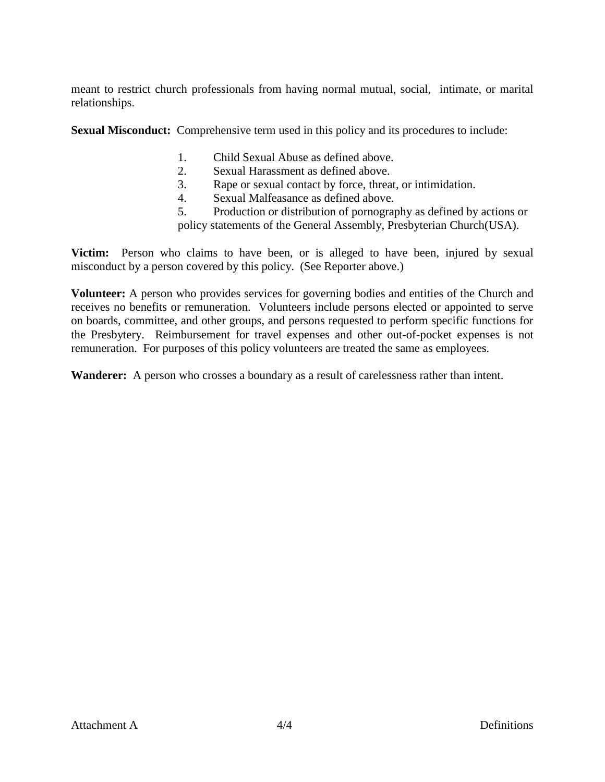meant to restrict church professionals from having normal mutual, social, intimate, or marital relationships.

**Sexual Misconduct:** Comprehensive term used in this policy and its procedures to include:

- 1. Child Sexual Abuse as defined above.
- 2. Sexual Harassment as defined above.
- 3. Rape or sexual contact by force, threat, or intimidation.
- 4. Sexual Malfeasance as defined above.
- 5. Production or distribution of pornography as defined by actions or

policy statements of the General Assembly, Presbyterian Church(USA).

**Victim:** Person who claims to have been, or is alleged to have been, injured by sexual misconduct by a person covered by this policy. (See Reporter above.)

**Volunteer:** A person who provides services for governing bodies and entities of the Church and receives no benefits or remuneration. Volunteers include persons elected or appointed to serve on boards, committee, and other groups, and persons requested to perform specific functions for the Presbytery. Reimbursement for travel expenses and other out-of-pocket expenses is not remuneration. For purposes of this policy volunteers are treated the same as employees.

**Wanderer:** A person who crosses a boundary as a result of carelessness rather than intent.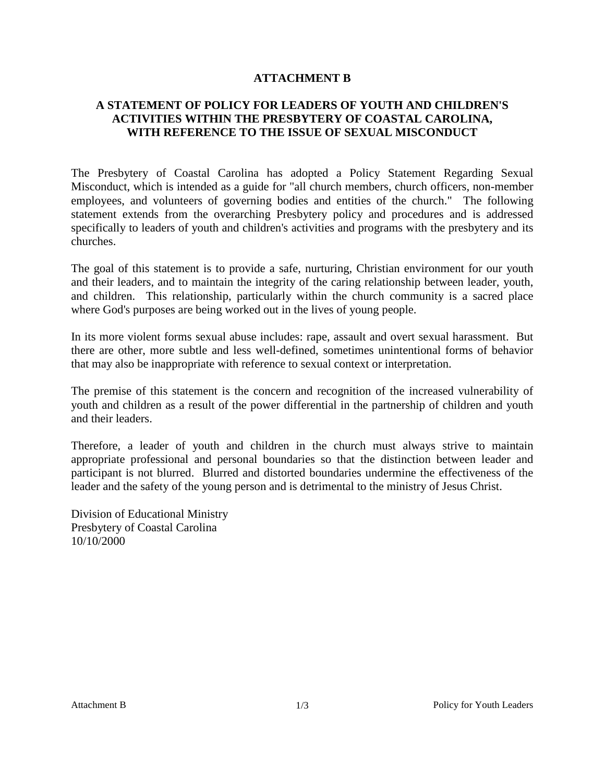#### **ATTACHMENT B**

#### **A STATEMENT OF POLICY FOR LEADERS OF YOUTH AND CHILDREN'S ACTIVITIES WITHIN THE PRESBYTERY OF COASTAL CAROLINA, WITH REFERENCE TO THE ISSUE OF SEXUAL MISCONDUCT**

The Presbytery of Coastal Carolina has adopted a Policy Statement Regarding Sexual Misconduct, which is intended as a guide for "all church members, church officers, non-member employees, and volunteers of governing bodies and entities of the church." The following statement extends from the overarching Presbytery policy and procedures and is addressed specifically to leaders of youth and children's activities and programs with the presbytery and its churches.

The goal of this statement is to provide a safe, nurturing, Christian environment for our youth and their leaders, and to maintain the integrity of the caring relationship between leader, youth, and children. This relationship, particularly within the church community is a sacred place where God's purposes are being worked out in the lives of young people.

In its more violent forms sexual abuse includes: rape, assault and overt sexual harassment. But there are other, more subtle and less well-defined, sometimes unintentional forms of behavior that may also be inappropriate with reference to sexual context or interpretation.

The premise of this statement is the concern and recognition of the increased vulnerability of youth and children as a result of the power differential in the partnership of children and youth and their leaders.

Therefore, a leader of youth and children in the church must always strive to maintain appropriate professional and personal boundaries so that the distinction between leader and participant is not blurred. Blurred and distorted boundaries undermine the effectiveness of the leader and the safety of the young person and is detrimental to the ministry of Jesus Christ.

Division of Educational Ministry Presbytery of Coastal Carolina 10/10/2000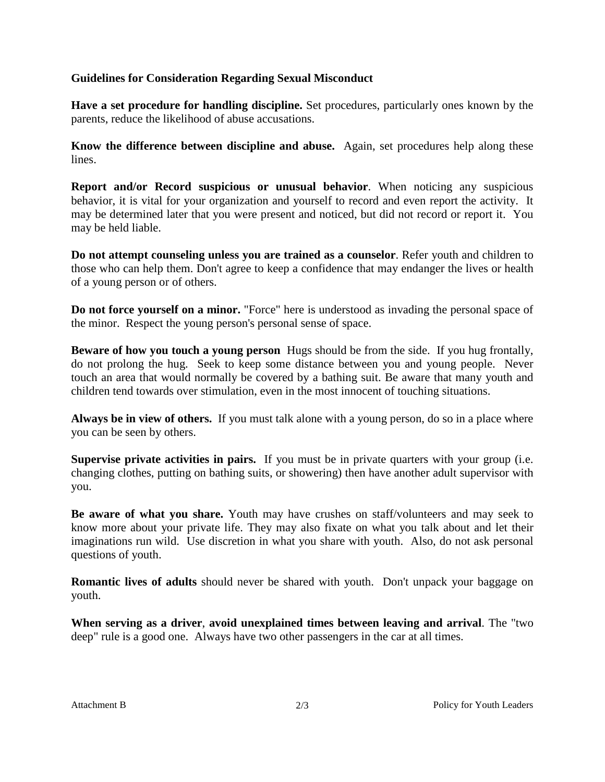#### **Guidelines for Consideration Regarding Sexual Misconduct**

**Have a set procedure for handling discipline.** Set procedures, particularly ones known by the parents, reduce the likelihood of abuse accusations.

**Know the difference between discipline and abuse.** Again, set procedures help along these lines.

**Report and/or Record suspicious or unusual behavior**. When noticing any suspicious behavior, it is vital for your organization and yourself to record and even report the activity. It may be determined later that you were present and noticed, but did not record or report it. You may be held liable.

**Do not attempt counseling unless you are trained as a counselor**. Refer youth and children to those who can help them. Don't agree to keep a confidence that may endanger the lives or health of a young person or of others.

**Do not force yourself on a minor.** "Force" here is understood as invading the personal space of the minor. Respect the young person's personal sense of space.

**Beware of how you touch a young person** Hugs should be from the side. If you hug frontally, do not prolong the hug. Seek to keep some distance between you and young people. Never touch an area that would normally be covered by a bathing suit. Be aware that many youth and children tend towards over stimulation, even in the most innocent of touching situations.

**Always be in view of others.** If you must talk alone with a young person, do so in a place where you can be seen by others.

**Supervise private activities in pairs.** If you must be in private quarters with your group (i.e. changing clothes, putting on bathing suits, or showering) then have another adult supervisor with you.

**Be aware of what you share.** Youth may have crushes on staff/volunteers and may seek to know more about your private life. They may also fixate on what you talk about and let their imaginations run wild. Use discretion in what you share with youth. Also, do not ask personal questions of youth.

**Romantic lives of adults** should never be shared with youth. Don't unpack your baggage on youth.

**When serving as a driver**, **avoid unexplained times between leaving and arrival**. The "two deep" rule is a good one. Always have two other passengers in the car at all times.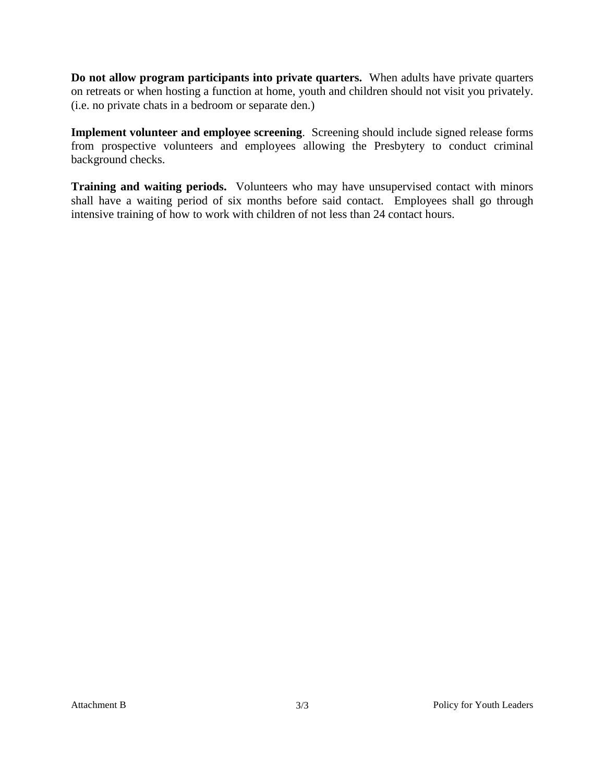**Do not allow program participants into private quarters.** When adults have private quarters on retreats or when hosting a function at home, youth and children should not visit you privately. (i.e. no private chats in a bedroom or separate den.)

**Implement volunteer and employee screening**. Screening should include signed release forms from prospective volunteers and employees allowing the Presbytery to conduct criminal background checks.

**Training and waiting periods.** Volunteers who may have unsupervised contact with minors shall have a waiting period of six months before said contact. Employees shall go through intensive training of how to work with children of not less than 24 contact hours.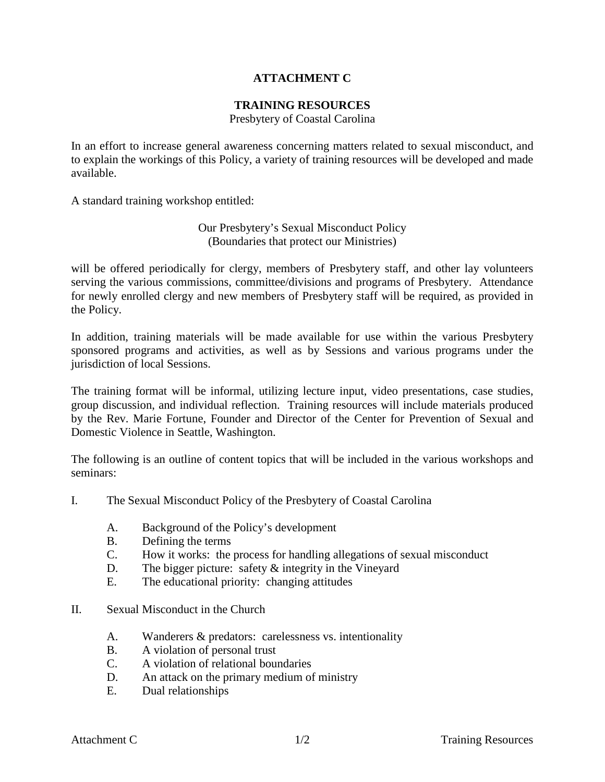### **ATTACHMENT C**

#### **TRAINING RESOURCES**

Presbytery of Coastal Carolina

In an effort to increase general awareness concerning matters related to sexual misconduct, and to explain the workings of this Policy, a variety of training resources will be developed and made available.

A standard training workshop entitled:

Our Presbytery's Sexual Misconduct Policy (Boundaries that protect our Ministries)

will be offered periodically for clergy, members of Presbytery staff, and other lay volunteers serving the various commissions, committee/divisions and programs of Presbytery. Attendance for newly enrolled clergy and new members of Presbytery staff will be required, as provided in the Policy.

In addition, training materials will be made available for use within the various Presbytery sponsored programs and activities, as well as by Sessions and various programs under the jurisdiction of local Sessions.

The training format will be informal, utilizing lecture input, video presentations, case studies, group discussion, and individual reflection. Training resources will include materials produced by the Rev. Marie Fortune, Founder and Director of the Center for Prevention of Sexual and Domestic Violence in Seattle, Washington.

The following is an outline of content topics that will be included in the various workshops and seminars:

- I. The Sexual Misconduct Policy of the Presbytery of Coastal Carolina
	- A. Background of the Policy's development
	- B. Defining the terms
	- C. How it works: the process for handling allegations of sexual misconduct
	- D. The bigger picture: safety & integrity in the Vineyard
	- E. The educational priority: changing attitudes
- II. Sexual Misconduct in the Church
	- A. Wanderers & predators: carelessness vs. intentionality
	- B. A violation of personal trust
	- C. A violation of relational boundaries
	- D. An attack on the primary medium of ministry
	- E. Dual relationships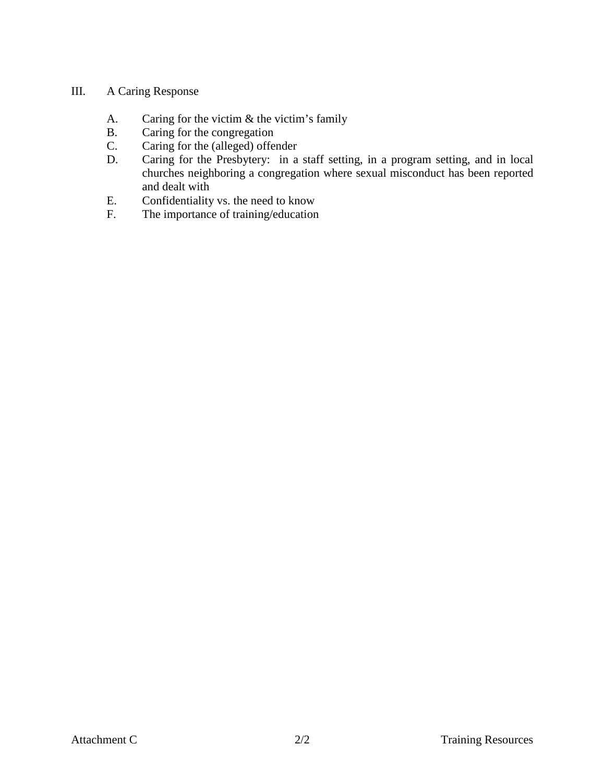#### III. A Caring Response

- A. Caring for the victim  $\&$  the victim's family  $B$ . Caring for the congregation
- B. Caring for the congregation<br>C. Caring for the (alleged) offer
- C. Caring for the (alleged) offender<br>D. Caring for the Presbytery: in a
- Caring for the Presbytery: in a staff setting, in a program setting, and in local churches neighboring a congregation where sexual misconduct has been reported and dealt with
- E. Confidentiality vs. the need to know<br>F. The importance of training/education
- The importance of training/education